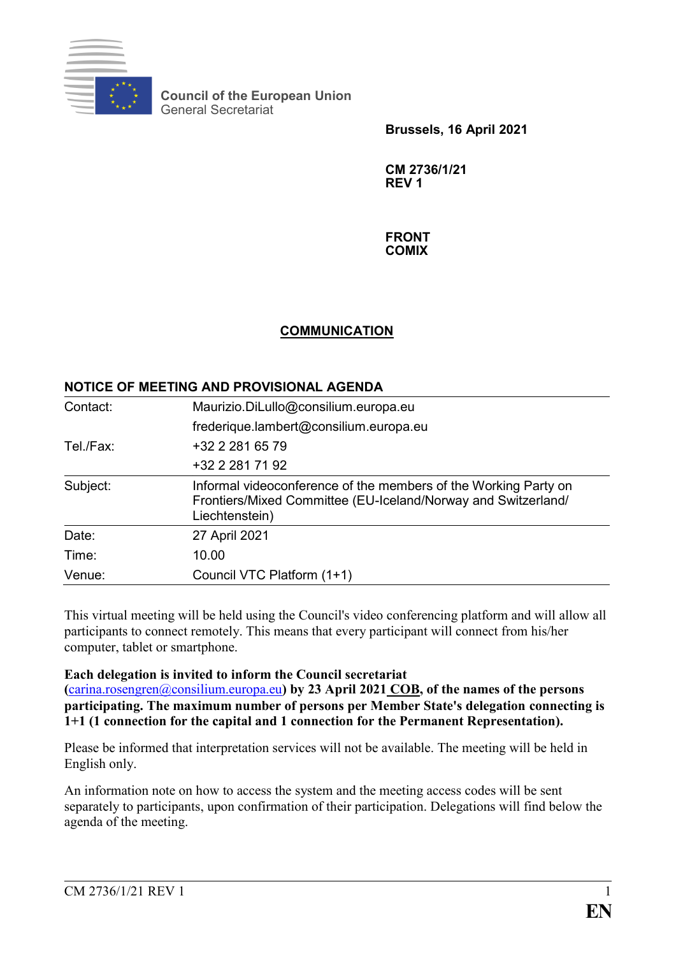

**Council of the European Union** General Secretariat

**Brussels, 16 April 2021**

**CM 2736/1/21 REV 1**

**FRONT COMIX**

### **COMMUNICATION**

# **NOTICE OF MEETING AND PROVISIONAL AGENDA**

| Contact:  | Maurizio.DiLullo@consilium.europa.eu                                                                                                               |
|-----------|----------------------------------------------------------------------------------------------------------------------------------------------------|
|           | frederique.lambert@consilium.europa.eu                                                                                                             |
| Tel./Fax: | +32 2 281 65 79                                                                                                                                    |
|           | +32 2 281 71 92                                                                                                                                    |
| Subject:  | Informal videoconference of the members of the Working Party on<br>Frontiers/Mixed Committee (EU-Iceland/Norway and Switzerland/<br>Liechtenstein) |
| Date:     | 27 April 2021                                                                                                                                      |
| Time:     | 10.00                                                                                                                                              |
| Venue:    | Council VTC Platform (1+1)                                                                                                                         |

This virtual meeting will be held using the Council's video conferencing platform and will allow all participants to connect remotely. This means that every participant will connect from his/her computer, tablet or smartphone.

**Each delegation is invited to inform the Council secretariat** 

**(**[carina.rosengren@consilium.europa.eu](mailto:carina.rosengren@consilium.europa.eu)**) by 23 April 2021 COB, of the names of the persons participating. The maximum number of persons per Member State's delegation connecting is 1+1 (1 connection for the capital and 1 connection for the Permanent Representation).**

Please be informed that interpretation services will not be available. The meeting will be held in English only.

An information note on how to access the system and the meeting access codes will be sent separately to participants, upon confirmation of their participation. Delegations will find below the agenda of the meeting.